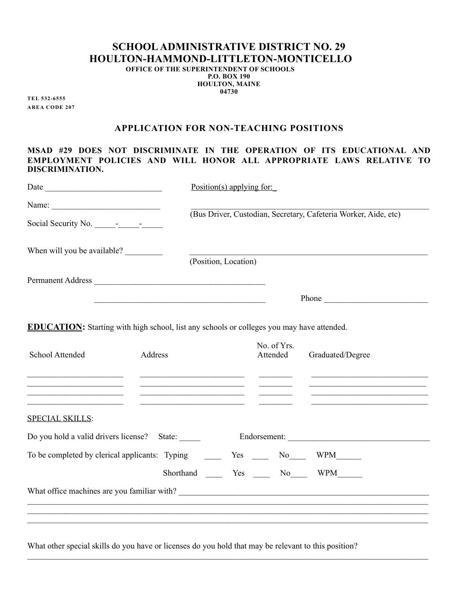## **SCHOOL ADMINISTRATIVE DISTRICT NO. 29 HOULTON-HAMMOND-LITTLETON-MONTICELLO**

**OFFICE OF THE SUPERINTENDENT OF SCHOOLS P.O. BOX 190 HOULTON, MAINE 04730**

**TEL 532-6555 AREA CODE 207**

## **APPLICATION FOR NON-TEACHING POSITIONS**

**MSAD #29 DOES NOT DISCRIMINATE IN THE OPERATION OF ITS EDUCATIONAL AND EMPLOYMENT POLICIES AND WILL HONOR ALL APPROPRIATE LAWS RELATIVE TO DISCRIMINATION.**

|                                                                                                                                           |                                                                                                                                                                                                                                                                               | Position(s) applying for:                                       |                                                                                                                                           |  |  |
|-------------------------------------------------------------------------------------------------------------------------------------------|-------------------------------------------------------------------------------------------------------------------------------------------------------------------------------------------------------------------------------------------------------------------------------|-----------------------------------------------------------------|-------------------------------------------------------------------------------------------------------------------------------------------|--|--|
| Name:                                                                                                                                     |                                                                                                                                                                                                                                                                               |                                                                 |                                                                                                                                           |  |  |
| Social Security No. - - -                                                                                                                 |                                                                                                                                                                                                                                                                               | (Bus Driver, Custodian, Secretary, Cafeteria Worker, Aide, etc) |                                                                                                                                           |  |  |
| When will you be available?                                                                                                               |                                                                                                                                                                                                                                                                               |                                                                 |                                                                                                                                           |  |  |
|                                                                                                                                           | (Position, Location)                                                                                                                                                                                                                                                          |                                                                 |                                                                                                                                           |  |  |
|                                                                                                                                           | Permanent Address                                                                                                                                                                                                                                                             |                                                                 |                                                                                                                                           |  |  |
|                                                                                                                                           |                                                                                                                                                                                                                                                                               | Phone                                                           |                                                                                                                                           |  |  |
| School Attended<br>the contract of the contract of the contract of the contract of the                                                    | <b>EDUCATION:</b> Starting with high school, list any schools or colleges you may have attended.<br>Address<br>the contract of the contract of the contract of the contract of the contract of<br><u> 1989 - Johann Stein, mars an deus an deus Amerikaansk kommunister (</u> | No. of Yrs.<br>Attended                                         | Graduated/Degree<br><u>experience</u> and the contract of the contract of the contract of the contract of the contract of the contract of |  |  |
| the contract of the contract of the contract of the contract of the contract of the contract of the contract of<br><b>SPECIAL SKILLS:</b> | <u> 1989 - Johann Barbara, martin amerikan personal (</u>                                                                                                                                                                                                                     |                                                                 |                                                                                                                                           |  |  |
|                                                                                                                                           | Do you hold a valid drivers license? State: Endorsement: Endorsement:                                                                                                                                                                                                         |                                                                 |                                                                                                                                           |  |  |
|                                                                                                                                           | To be completed by clerical applicants: Typing<br>Yes _____ No_____ WPM_______                                                                                                                                                                                                |                                                                 |                                                                                                                                           |  |  |
|                                                                                                                                           |                                                                                                                                                                                                                                                                               | Shorthand ______ Yes ______ No______ WPM_______                 |                                                                                                                                           |  |  |
|                                                                                                                                           |                                                                                                                                                                                                                                                                               |                                                                 |                                                                                                                                           |  |  |
|                                                                                                                                           | ,我们也不能会有什么。""我们的人,我们也不能会有什么?""我们的人,我们也不能会有什么?""我们的人,我们也不能会有什么?""我们的人,我们也不能会有什么?""                                                                                                                                                                                             |                                                                 |                                                                                                                                           |  |  |
|                                                                                                                                           |                                                                                                                                                                                                                                                                               |                                                                 |                                                                                                                                           |  |  |

What other special skills do you have or licenses do you hold that may be relevant to this position?

 $\mathcal{L}_\mathcal{L} = \mathcal{L}_\mathcal{L} = \mathcal{L}_\mathcal{L} = \mathcal{L}_\mathcal{L} = \mathcal{L}_\mathcal{L} = \mathcal{L}_\mathcal{L} = \mathcal{L}_\mathcal{L} = \mathcal{L}_\mathcal{L} = \mathcal{L}_\mathcal{L} = \mathcal{L}_\mathcal{L} = \mathcal{L}_\mathcal{L} = \mathcal{L}_\mathcal{L} = \mathcal{L}_\mathcal{L} = \mathcal{L}_\mathcal{L} = \mathcal{L}_\mathcal{L} = \mathcal{L}_\mathcal{L} = \mathcal{L}_\mathcal{L}$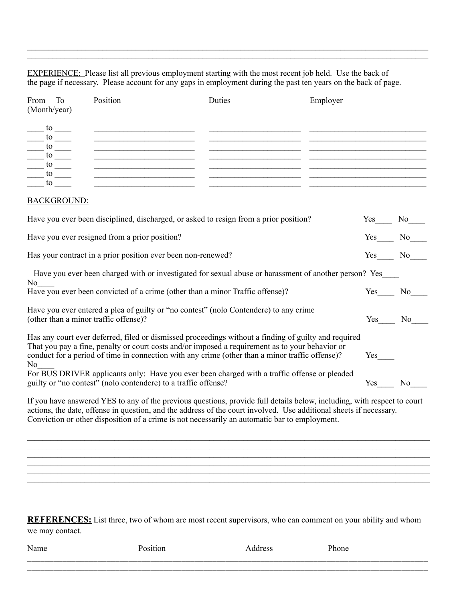EXPERIENCE: Please list all previous employment starting with the most recent job held. Use the back of the page if necessary. Please account for any gaps in employment during the past ten years on the back of page.

 $\mathcal{L}_\mathcal{L} = \mathcal{L}_\mathcal{L} = \mathcal{L}_\mathcal{L} = \mathcal{L}_\mathcal{L} = \mathcal{L}_\mathcal{L} = \mathcal{L}_\mathcal{L} = \mathcal{L}_\mathcal{L} = \mathcal{L}_\mathcal{L} = \mathcal{L}_\mathcal{L} = \mathcal{L}_\mathcal{L} = \mathcal{L}_\mathcal{L} = \mathcal{L}_\mathcal{L} = \mathcal{L}_\mathcal{L} = \mathcal{L}_\mathcal{L} = \mathcal{L}_\mathcal{L} = \mathcal{L}_\mathcal{L} = \mathcal{L}_\mathcal{L}$  $\mathcal{L}_\mathcal{L} = \mathcal{L}_\mathcal{L} = \mathcal{L}_\mathcal{L} = \mathcal{L}_\mathcal{L} = \mathcal{L}_\mathcal{L} = \mathcal{L}_\mathcal{L} = \mathcal{L}_\mathcal{L} = \mathcal{L}_\mathcal{L} = \mathcal{L}_\mathcal{L} = \mathcal{L}_\mathcal{L} = \mathcal{L}_\mathcal{L} = \mathcal{L}_\mathcal{L} = \mathcal{L}_\mathcal{L} = \mathcal{L}_\mathcal{L} = \mathcal{L}_\mathcal{L} = \mathcal{L}_\mathcal{L} = \mathcal{L}_\mathcal{L}$ 

| From<br>To<br>(Month/year)                                                                                                                                  | Position                                                                                                                                                                                                                                                                                                                                                                | Duties                                                                                                                                                             | Employer                                                                                                                  |     |                       |
|-------------------------------------------------------------------------------------------------------------------------------------------------------------|-------------------------------------------------------------------------------------------------------------------------------------------------------------------------------------------------------------------------------------------------------------------------------------------------------------------------------------------------------------------------|--------------------------------------------------------------------------------------------------------------------------------------------------------------------|---------------------------------------------------------------------------------------------------------------------------|-----|-----------------------|
| $\frac{1}{\sqrt{1-\frac{1}{2}}}$<br>$\frac{10}{\sqrt{10}}$<br>$\frac{10}{2}$<br>$\frac{1}{10}$<br>$\frac{\frac{1}{10}}{\frac{1}{10}}\frac{1}{\frac{1}{10}}$ | <u> 1989 - Jan James James Barnett, amerikan bahasa (j. 1989)</u><br><u> 1989 - Johann John Stein, markin fan it fjort fan it fjort fan it fjort fan it fjort fan it fjort fan it fjort </u><br><u> 1989 - Johann Barnett, fransk politik (</u><br><u> Alexandria de la contrada de la contrada de la contrada de la contrada de la contrada de la contrada de la c</u> | <u> 1989 - Johann John Stein, markin f</u><br><u> 1990 - Jan James James James James James James James James James James James James James James James James J</u> | <u> 2000 - Jan James James Jan James James James James James James James James James James James James James James Ja</u> |     |                       |
| <b>BACKGROUND:</b>                                                                                                                                          |                                                                                                                                                                                                                                                                                                                                                                         |                                                                                                                                                                    |                                                                                                                           |     |                       |
|                                                                                                                                                             | Have you ever been disciplined, discharged, or asked to resign from a prior position?                                                                                                                                                                                                                                                                                   |                                                                                                                                                                    |                                                                                                                           | Yes | No                    |
|                                                                                                                                                             | Have you ever resigned from a prior position?                                                                                                                                                                                                                                                                                                                           |                                                                                                                                                                    |                                                                                                                           | Yes | No No                 |
| Has your contract in a prior position ever been non-renewed?                                                                                                |                                                                                                                                                                                                                                                                                                                                                                         |                                                                                                                                                                    |                                                                                                                           |     | N <sub>0</sub><br>Yes |
|                                                                                                                                                             | Have you ever been charged with or investigated for sexual abuse or harassment of another person? Yes                                                                                                                                                                                                                                                                   |                                                                                                                                                                    |                                                                                                                           |     |                       |
| N <sub>0</sub><br>Have you ever been convicted of a crime (other than a minor Traffic offense)?                                                             |                                                                                                                                                                                                                                                                                                                                                                         |                                                                                                                                                                    |                                                                                                                           |     | No<br>Yes             |
| Have you ever entered a plea of guilty or "no contest" (nolo Contendere) to any crime<br>(other than a minor traffic offense)?                              |                                                                                                                                                                                                                                                                                                                                                                         |                                                                                                                                                                    |                                                                                                                           |     | Yes<br>No             |
| N <sub>0</sub>                                                                                                                                              | Has any court ever deferred, filed or dismissed proceedings without a finding of guilty and required<br>That you pay a fine, penalty or court costs and/or imposed a requirement as to your behavior or<br>conduct for a period of time in connection with any crime (other than a minor traffic offense)?                                                              |                                                                                                                                                                    |                                                                                                                           | Yes |                       |
|                                                                                                                                                             | For BUS DRIVER applicants only: Have you ever been charged with a traffic offense or pleaded<br>guilty or "no contest" (nolo contendere) to a traffic offense?                                                                                                                                                                                                          |                                                                                                                                                                    |                                                                                                                           | Yes | N <sub>0</sub>        |
|                                                                                                                                                             | If you have answered YES to any of the previous questions, provide full details below, including, with respect to court<br>actions, the date, offense in question, and the address of the court involved. Use additional sheets if necessary.                                                                                                                           |                                                                                                                                                                    |                                                                                                                           |     |                       |

Conviction or other disposition of a crime is not necessarily an automatic bar to employment.

**REFERENCES:** List three, two of whom are most recent supervisors, who can comment on your ability and whom we may contact.

 $\mathcal{L}_\mathcal{L} = \{ \mathcal{L}_\mathcal{L} = \{ \mathcal{L}_\mathcal{L} = \{ \mathcal{L}_\mathcal{L} = \{ \mathcal{L}_\mathcal{L} = \{ \mathcal{L}_\mathcal{L} = \{ \mathcal{L}_\mathcal{L} = \{ \mathcal{L}_\mathcal{L} = \{ \mathcal{L}_\mathcal{L} = \{ \mathcal{L}_\mathcal{L} = \{ \mathcal{L}_\mathcal{L} = \{ \mathcal{L}_\mathcal{L} = \{ \mathcal{L}_\mathcal{L} = \{ \mathcal{L}_\mathcal{L} = \{ \mathcal{L}_\mathcal{$ 

 $\mathcal{L}_\text{max} = \frac{1}{2} \sum_{i=1}^n \mathcal{L}_\text{max} = \frac{1}{2} \sum_{i=1}^n \mathcal{L}_\text{max} = \frac{1}{2} \sum_{i=1}^n \mathcal{L}_\text{max} = \frac{1}{2} \sum_{i=1}^n \mathcal{L}_\text{max} = \frac{1}{2} \sum_{i=1}^n \mathcal{L}_\text{max} = \frac{1}{2} \sum_{i=1}^n \mathcal{L}_\text{max} = \frac{1}{2} \sum_{i=1}^n \mathcal{L}_\text{max} = \frac{1}{2} \sum_{i=$ 

| . T<br>٦m٠ |  |  |
|------------|--|--|
|            |  |  |